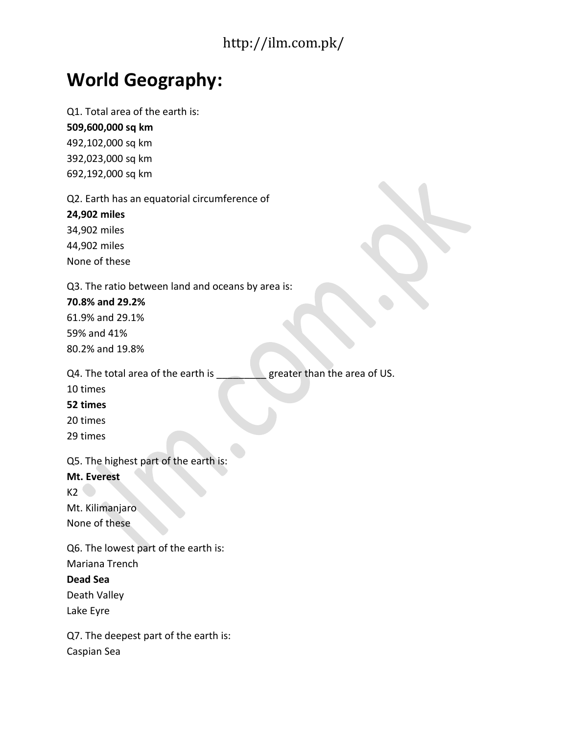# **World Geography:**

Q1. Total area of the earth is:

**509,600,000 sq km** 492,102,000 sq km 392,023,000 sq km 692,192,000 sq km

Q2. Earth has an equatorial circumference of

**24,902 miles**

34,902 miles 44,902 miles None of these

Q3. The ratio between land and oceans by area is:

**70.8% and 29.2%** 61.9% and 29.1% 59% and 41%

80.2% and 19.8%

Q4. The total area of the earth is greater than the area of US.

10 times

**52 times**

20 times

29 times

Q5. The highest part of the earth is:

## **Mt. Everest**

 $K2$ 

Mt. Kilimanjaro None of these

Q6. The lowest part of the earth is: Mariana Trench

**Dead Sea**

Death Valley

Lake Eyre

Q7. The deepest part of the earth is: Caspian Sea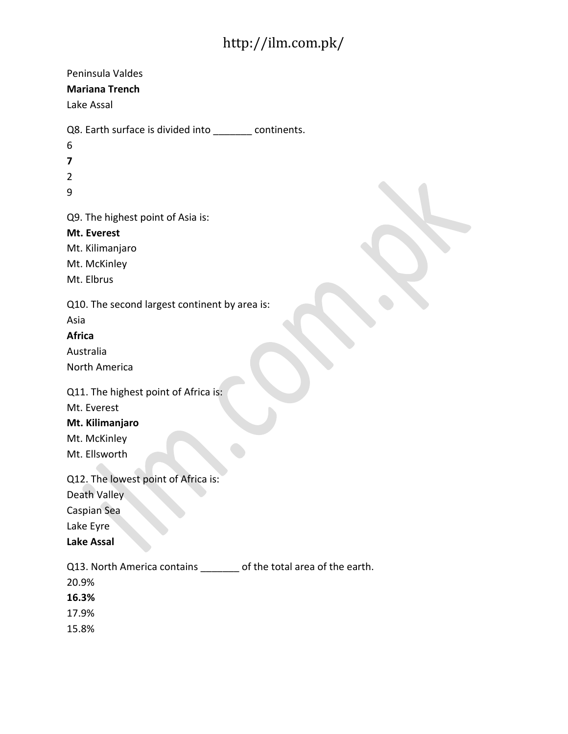| Peninsula Valdes<br><b>Mariana Trench</b><br>Lake Assal                                                 |
|---------------------------------------------------------------------------------------------------------|
| Q8. Earth surface is divided into _________ continents.<br>6<br>7<br>$\overline{2}$<br>9                |
| Q9. The highest point of Asia is:<br>Mt. Everest<br>Mt. Kilimanjaro<br>Mt. McKinley<br>Mt. Elbrus       |
| Q10. The second largest continent by area is:<br>Asia<br><b>Africa</b><br>Australia<br>North America    |
| Q11. The highest point of Africa is:<br>Mt. Everest<br>Mt. Kilimanjaro<br>Mt. McKinley<br>Mt. Ellsworth |
| Q12. The lowest point of Africa is:<br>Death Valley<br>Caspian Sea<br>Lake Eyre<br><b>Lake Assal</b>    |
| Q13. North America contains _______ of the total area of the earth.<br>20.9%<br>16.3%<br>17.9%<br>15.8% |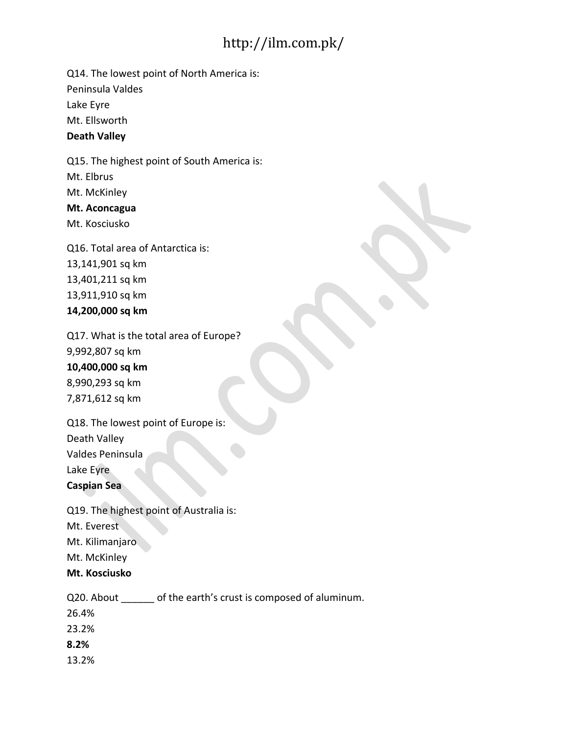Q14. The lowest point of North America is: Peninsula Valdes

Lake Eyre

Mt. Ellsworth

**Death Valley**

Q15. The highest point of South America is: Mt. Elbrus Mt. McKinley **Mt. Aconcagua** Mt. Kosciusko

Q16. Total area of Antarctica is: 13,141,901 sq km 13,401,211 sq km 13,911,910 sq km **14,200,000 sq km**

Q17. What is the total area of Europe? 9,992,807 sq km **10,400,000 sq km** 8,990,293 sq km 7,871,612 sq km

Q18. The lowest point of Europe is: Death Valley Valdes Peninsula Lake Eyre

**Caspian Sea**

Q19. The highest point of Australia is: Mt. Everest Mt. Kilimanjaro Mt. McKinley **Mt. Kosciusko**

Q20. About of the earth's crust is composed of aluminum.

26.4%

23.2%

**8.2%**

13.2%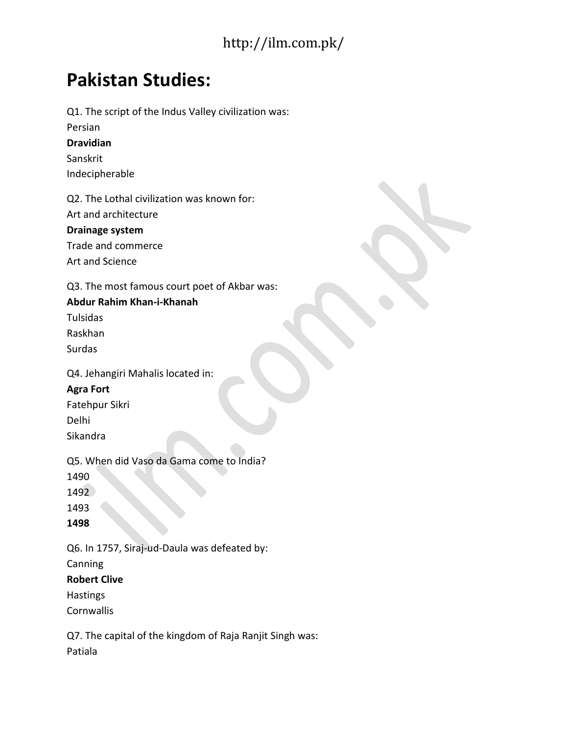# **Pakistan Studies:**

Q1. The script of the Indus Valley civilization was: Persian **Dravidian** Sanskrit Indecipherable Q2. The Lothal civilization was known for: Art and architecture **Drainage system** Trade and commerce Art and Science Q3. The most famous court poet of Akbar was: **Abdur Rahim Khan-i-Khanah** Tulsidas Raskhan Surdas Q4. Jehangiri Mahalis located in: **Agra Fort** Fatehpur Sikri Delhi Sikandra Q5. When did Vaso da Gama come to India? 1490 1492 1493 **1498** Q6. In 1757, Siraj-ud-Daula was defeated by: Canning **Robert Clive Hastings** 

**Cornwallis** 

Q7. The capital of the kingdom of Raja Ranjit Singh was: Patiala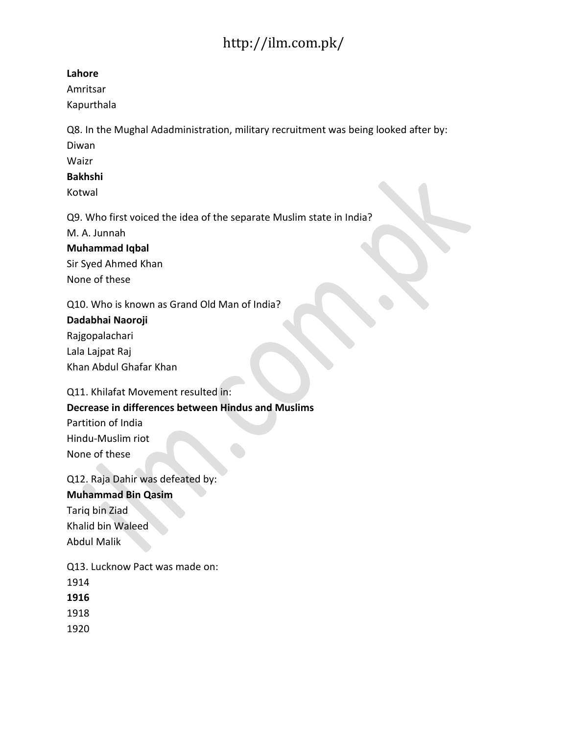#### **Lahore**

Amritsar Kapurthala

Q8. In the Mughal Adadministration, military recruitment was being looked after by: Diwan

Waizr

#### **Bakhshi**

Kotwal

Q9. Who first voiced the idea of the separate Muslim state in India?

M. A. Junnah

### **Muhammad Iqbal**

Sir Syed Ahmed Khan None of these

Q10. Who is known as Grand Old Man of India?

### **Dadabhai Naoroji**

Rajgopalachari Lala Lajpat Raj Khan Abdul Ghafar Khan

Q11. Khilafat Movement resulted in:

## **Decrease in differences between Hindus and Muslims**

Partition of India Hindu-Muslim riot None of these

Q12. Raja Dahir was defeated by: **Muhammad Bin Qasim** Tariq bin Ziad Khalid bin Waleed Abdul Malik

Q13. Lucknow Pact was made on: 1914 **1916**

1918

1920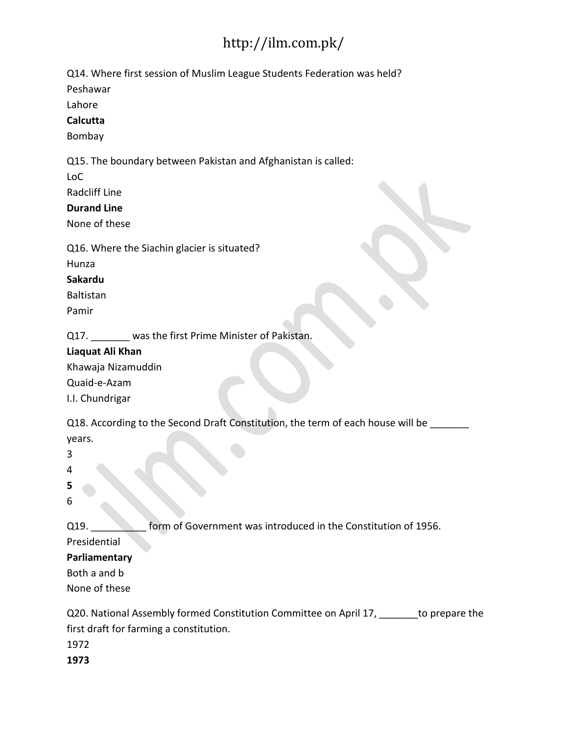Q14. Where first session of Muslim League Students Federation was held?

Peshawar

Lahore

### **Calcutta**

Bombay

Q15. The boundary between Pakistan and Afghanistan is called:

LoC

Radcliff Line

### **Durand Line**

None of these

Q16. Where the Siachin glacier is situated?

Hunza

### **Sakardu**

Baltistan

Pamir

Q17. was the first Prime Minister of Pakistan.

### **Liaquat Ali Khan**

Khawaja Nizamuddin Quaid-e-Azam I.I. Chundrigar

Q18. According to the Second Draft Constitution, the term of each house will be years.

3

4

**5**

6

Q19. **EXECUTE:** form of Government was introduced in the Constitution of 1956.

Presidential

## **Parliamentary**

Both a and b

None of these

Q20. National Assembly formed Constitution Committee on April 17, \_\_\_\_\_\_\_to prepare the first draft for farming a constitution. 1972

**1973**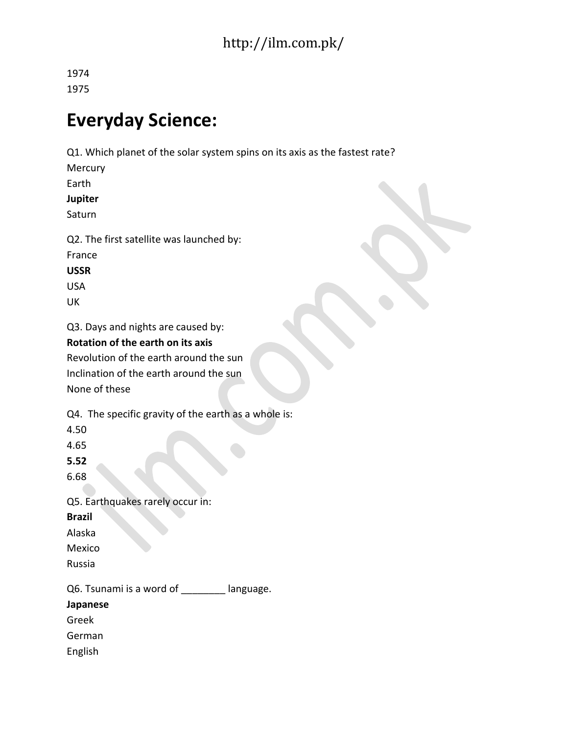1974 1975

# **Everyday Science:**

Q1. Which planet of the solar system spins on its axis as the fastest rate? **Mercury** 

Earth

**Jupiter**

Saturn

Q2. The first satellite was launched by: France

**USSR**

USA

UK

Q3. Days and nights are caused by:

## **Rotation of the earth on its axis**

Revolution of the earth around the sun Inclination of the earth around the sun None of these

Q4. The specific gravity of the earth as a whole is:

4.50

4.65

**5.52**

6.68

Q5. Earthquakes rarely occur in: **Brazil** Alaska Mexico Russia

Q6. Tsunami is a word of \_\_\_\_\_\_\_ language.

**Japanese**

Greek

German

English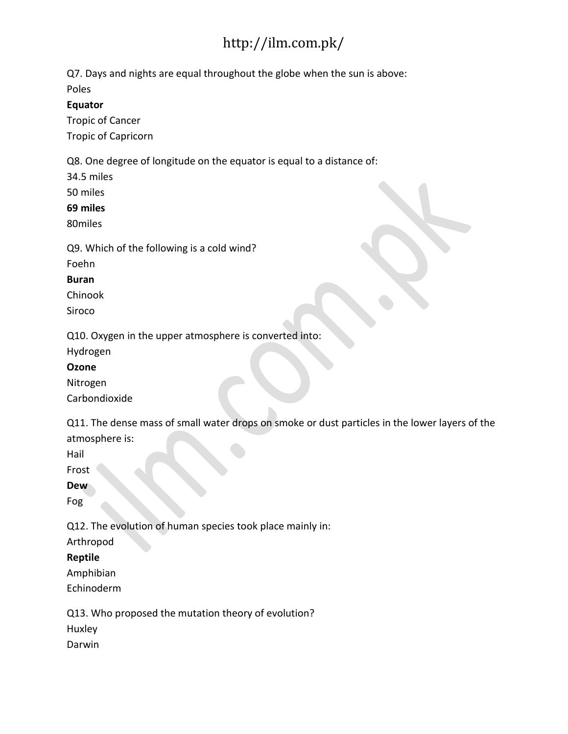Q7. Days and nights are equal throughout the globe when the sun is above:

Poles

**Equator**

Tropic of Cancer Tropic of Capricorn

Q8. One degree of longitude on the equator is equal to a distance of:

34.5 miles

50 miles

**69 miles**

80miles

Q9. Which of the following is a cold wind?

Foehn

**Buran**

Chinook

Siroco

Q10. Oxygen in the upper atmosphere is converted into:

Hydrogen

**Ozone**

Nitrogen Carbondioxide

Q11. The dense mass of small water drops on smoke or dust particles in the lower layers of the atmosphere is:

Hail

Frost

**Dew**

Fog

Q12. The evolution of human species took place mainly in:

Arthropod

**Reptile**

Amphibian Echinoderm

Q13. Who proposed the mutation theory of evolution?

Huxley

Darwin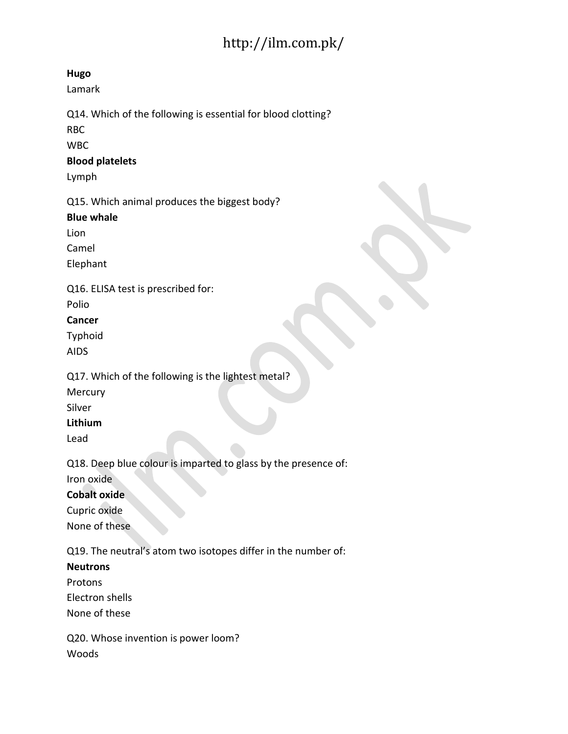### **Hugo**

Lamark

Q14. Which of the following is essential for blood clotting?

RBC

WBC

### **Blood platelets**

Lymph

Q15. Which animal produces the biggest body?

### **Blue whale**

Lion

Camel

Elephant

Q16. ELISA test is prescribed for:

Polio

## **Cancer**

Typhoid

AIDS

Q17. Which of the following is the lightest metal?

Mercury

Silver

## **Lithium**

Lead

Q18. Deep blue colour is imparted to glass by the presence of: Iron oxide

## **Cobalt oxide**

Cupric oxide None of these

Q19. The neutral's atom two isotopes differ in the number of:

## **Neutrons**

Protons

Electron shells

None of these

Q20. Whose invention is power loom? Woods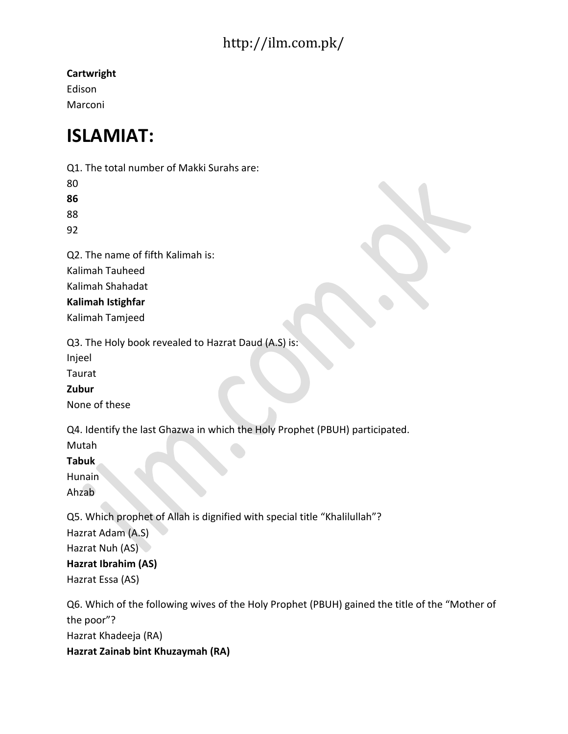**Cartwright**

Edison Marconi

# **ISLAMIAT:**

Q1. The total number of Makki Surahs are:

80

**86** 88

92

Q2. The name of fifth Kalimah is: Kalimah Tauheed

Kalimah Shahadat

# **Kalimah Istighfar**

Kalimah Tamjeed

Q3. The Holy book revealed to Hazrat Daud (A.S) is:

Injeel

Taurat

**Zubur**

None of these

Q4. Identify the last Ghazwa in which the Holy Prophet (PBUH) participated.

Mutah

**Tabuk**

Hunain Ahzab

Q5. Which prophet of Allah is dignified with special title "Khalilullah"?

Hazrat Adam (A.S)

Hazrat Nuh (AS)

# **Hazrat Ibrahim (AS)**

Hazrat Essa (AS)

Q6. Which of the following wives of the Holy Prophet (PBUH) gained the title of the "Mother of the poor"? Hazrat Khadeeja (RA) **Hazrat Zainab bint Khuzaymah (RA)**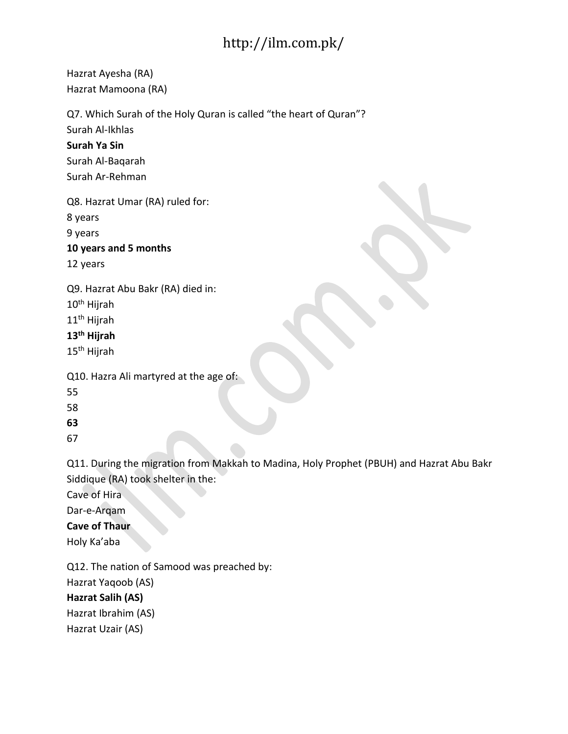Hazrat Ayesha (RA) Hazrat Mamoona (RA)

Q7. Which Surah of the Holy Quran is called "the heart of Quran"?

Surah Al-Ikhlas

**Surah Ya Sin**

Surah Al-Baqarah Surah Ar-Rehman

Q8. Hazrat Umar (RA) ruled for:

8 years

9 years

**10 years and 5 months**

12 years

Q9. Hazrat Abu Bakr (RA) died in:

10th Hijrah

11th Hijrah

## **13th Hijrah**

15th Hijrah

Q10. Hazra Ali martyred at the age of:

55

58

**63**

67

Q11. During the migration from Makkah to Madina, Holy Prophet (PBUH) and Hazrat Abu Bakr Siddique (RA) took shelter in the:

Cave of Hira

Dar-e-Arqam

## **Cave of Thaur**

Holy Ka'aba

Q12. The nation of Samood was preached by:

Hazrat Yaqoob (AS)

## **Hazrat Salih (AS)**

Hazrat Ibrahim (AS)

Hazrat Uzair (AS)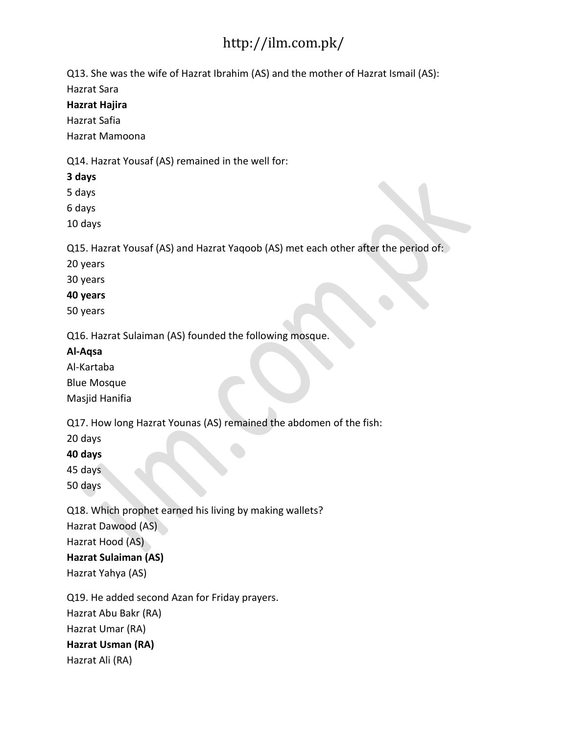Q13. She was the wife of Hazrat Ibrahim (AS) and the mother of Hazrat Ismail (AS):

Hazrat Sara

**Hazrat Hajira**

Hazrat Safia

Hazrat Mamoona

Q14. Hazrat Yousaf (AS) remained in the well for:

**3 days**

5 days

6 days

10 days

Q15. Hazrat Yousaf (AS) and Hazrat Yaqoob (AS) met each other after the period of:

20 years

30 years

**40 years**

50 years

Q16. Hazrat Sulaiman (AS) founded the following mosque.

## **Al-Aqsa**

Al-Kartaba Blue Mosque Masjid Hanifia

Q17. How long Hazrat Younas (AS) remained the abdomen of the fish:

20 days

**40 days**

45 days

50 days

Q18. Which prophet earned his living by making wallets? Hazrat Dawood (AS) Hazrat Hood (AS) **Hazrat Sulaiman (AS)** Hazrat Yahya (AS)

Q19. He added second Azan for Friday prayers. Hazrat Abu Bakr (RA) Hazrat Umar (RA)

**Hazrat Usman (RA)**

Hazrat Ali (RA)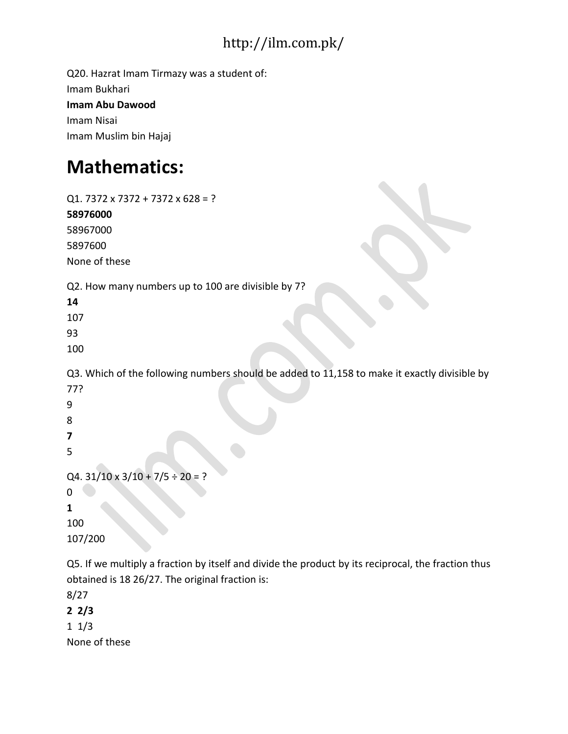Q20. Hazrat Imam Tirmazy was a student of: Imam Bukhari **Imam Abu Dawood** Imam Nisai Imam Muslim bin Hajaj

# **Mathematics:**

Q1. 7372 x 7372 + 7372 x 628 = ? **58976000** 58967000 5897600 None of these Q2. How many numbers up to 100 are divisible by 7? **14** 107 93 100 Q3. Which of the following numbers should be added to 11,158 to make it exactly divisible by 77? 9 8 **7** 5 Q4.  $31/10 \times 3/10 + 7/5 \div 20 = ?$ 0 **1** 100 107/200 Q5. If we multiply a fraction by itself and divide the product by its reciprocal, the fraction thus obtained is 18 26/27. The original fraction is:

8/27 **2 2/3** 1 1/3 None of these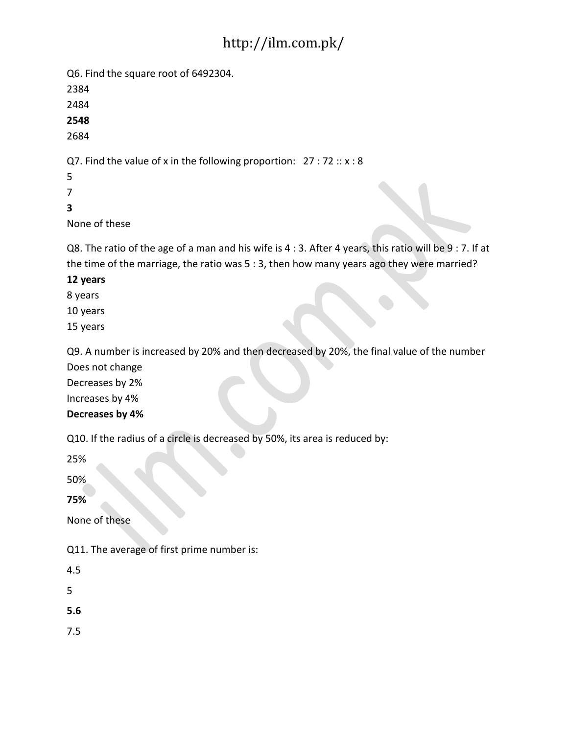Q6. Find the square root of 6492304.

2384

2484

**2548**

2684

Q7. Find the value of x in the following proportion:  $27:72::x:8$ 

5

7

**3**

None of these

Q8. The ratio of the age of a man and his wife is 4 : 3. After 4 years, this ratio will be 9 : 7. If at the time of the marriage, the ratio was 5 : 3, then how many years ago they were married?

## **12 years**

8 years

10 years

15 years

Q9. A number is increased by 20% and then decreased by 20%, the final value of the number

Does not change

Decreases by 2%

Increases by 4%

## **Decreases by 4%**

Q10. If the radius of a circle is decreased by 50%, its area is reduced by:

25%

50%

**75%**

None of these

Q11. The average of first prime number is:

4.5

5

**5.6**

7.5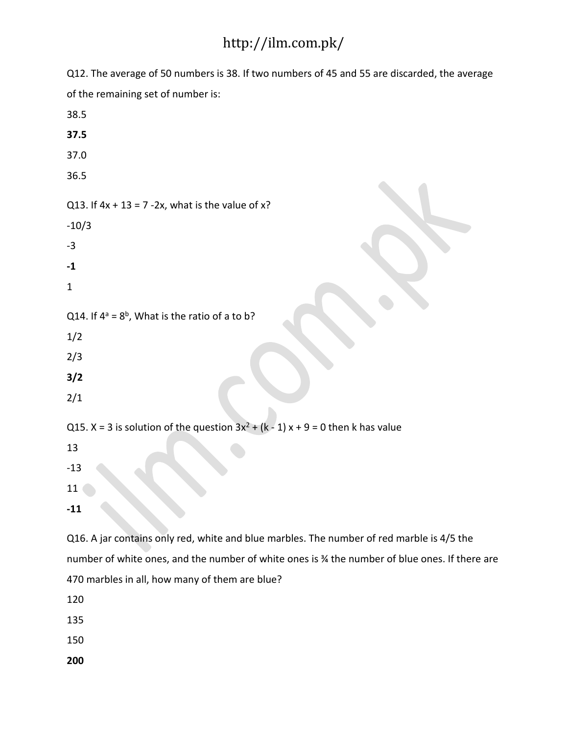Q12. The average of 50 numbers is 38. If two numbers of 45 and 55 are discarded, the average of the remaining set of number is: 38.5 **37.5** 37.0 36.5 Q13. If  $4x + 13 = 7 - 2x$ , what is the value of  $x$ ? -10/3 -3 **-1** 1 Q14. If  $4^a = 8^b$ , What is the ratio of a to b? 1/2 2/3 **3/2** 2/1 Q15. X = 3 is solution of the question  $3x^2 + (k - 1)x + 9 = 0$  then k has value 13 -13 11 **-11** Q16. A jar contains only red, white and blue marbles. The number of red marble is 4/5 the number of white ones, and the number of white ones is ¾ the number of blue ones. If there are 470 marbles in all, how many of them are blue?

120

135

150

**200**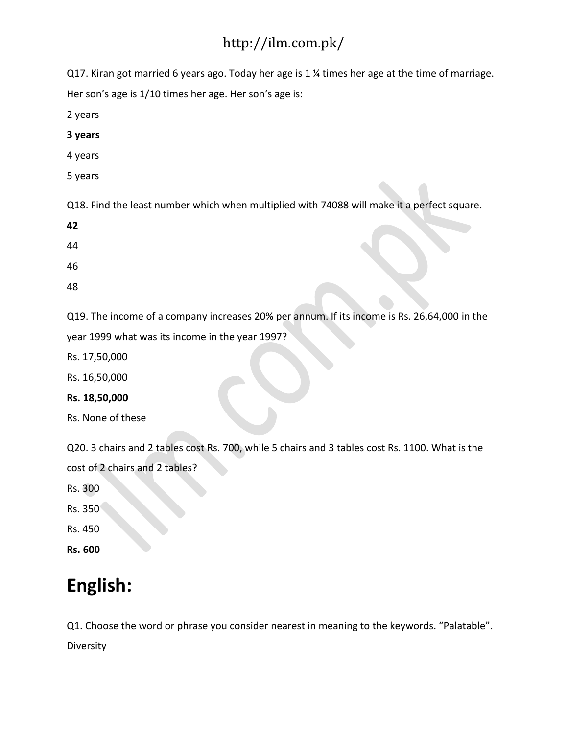Q17. Kiran got married 6 years ago. Today her age is 1 ¼ times her age at the time of marriage.

Her son's age is 1/10 times her age. Her son's age is:

2 years

- **3 years**
- 4 years
- 5 years

Q18. Find the least number which when multiplied with 74088 will make it a perfect square.

- **42**
- 44
- 46
- 48

Q19. The income of a company increases 20% per annum. If its income is Rs. 26,64,000 in the

year 1999 what was its income in the year 1997?

Rs. 17,50,000

Rs. 16,50,000

**Rs. 18,50,000**

Rs. None of these

Q20. 3 chairs and 2 tables cost Rs. 700, while 5 chairs and 3 tables cost Rs. 1100. What is the cost of 2 chairs and 2 tables?

Rs. 300

Rs. 350

Rs. 450

**Rs. 600**

# **English:**

Q1. Choose the word or phrase you consider nearest in meaning to the keywords. "Palatable". **Diversity**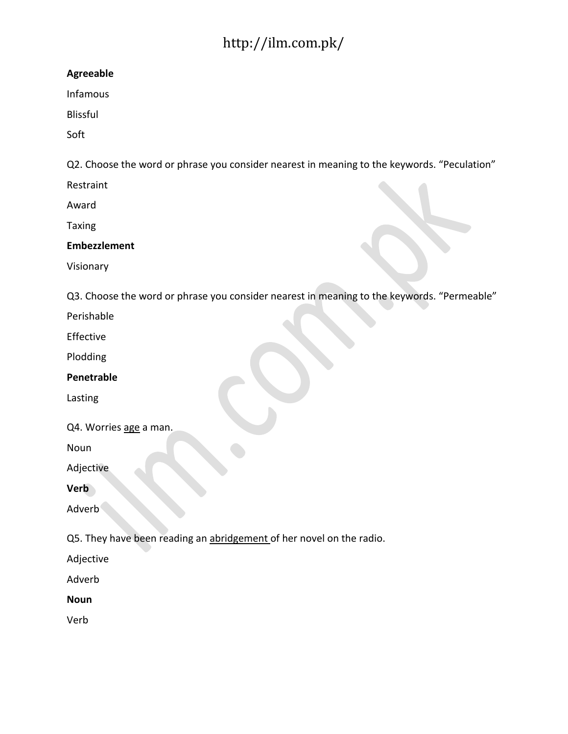### **Agreeable**

Infamous

Blissful

Soft

Q2. Choose the word or phrase you consider nearest in meaning to the keywords. "Peculation"

Restraint

Award

Taxing

### **Embezzlement**

Visionary

Q3. Choose the word or phrase you consider nearest in meaning to the keywords. "Permeable"

Perishable

Effective

Plodding

**Penetrable**

Lasting

Q4. Worries age a man.

Noun

Adjective

**Verb**

Adverb

Q5. They have been reading an abridgement of her novel on the radio.

Adjective

Adverb

**Noun**

Verb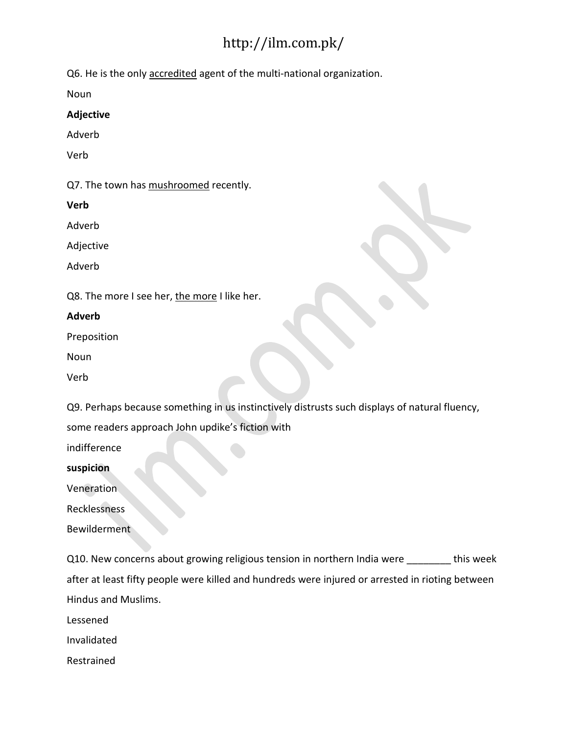Q6. He is the only accredited agent of the multi-national organization.

Noun

#### **Adjective**

Adverb

Verb

Q7. The town has mushroomed recently.

**Verb**

Adverb

Adjective

Adverb

Q8. The more I see her, the more I like her.

#### **Adverb**

Preposition

Noun

Verb

Q9. Perhaps because something in us instinctively distrusts such displays of natural fluency,

some readers approach John updike's fiction with

indifference

**suspicion**

Veneration

Recklessness

Bewilderment

Q10. New concerns about growing religious tension in northern India were \_\_\_\_\_\_\_\_ this week after at least fifty people were killed and hundreds were injured or arrested in rioting between Hindus and Muslims.

Lessened

Invalidated

Restrained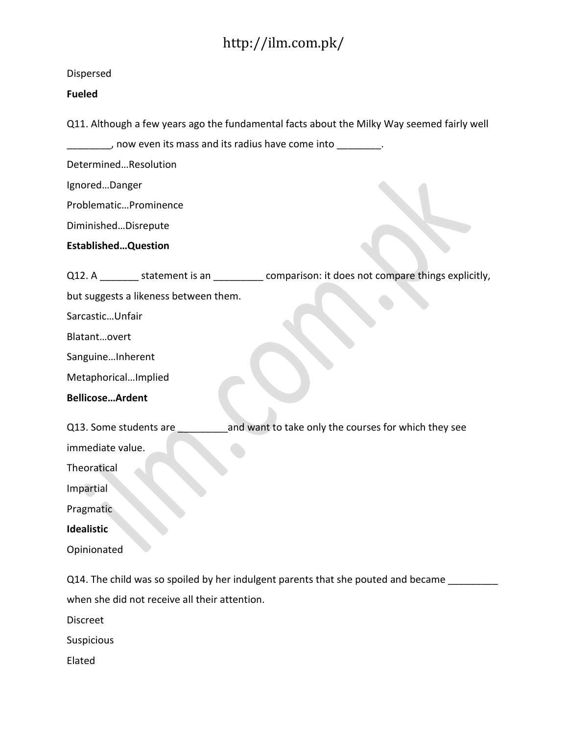| Dispersed                                                                                    |
|----------------------------------------------------------------------------------------------|
| <b>Fueled</b>                                                                                |
| Q11. Although a few years ago the fundamental facts about the Milky Way seemed fairly well   |
| g now even its mass and its radius have come into _________.                                 |
| DeterminedResolution                                                                         |
| IgnoredDanger                                                                                |
| ProblematicProminence                                                                        |
| DiminishedDisrepute                                                                          |
| <b>EstablishedQuestion</b>                                                                   |
| Q12. A ________ statement is an _________ comparison: it does not compare things explicitly, |
| but suggests a likeness between them.                                                        |
| SarcasticUnfair                                                                              |
| Blatantovert                                                                                 |
| SanguineInherent                                                                             |
| MetaphoricalImplied                                                                          |
| <b>BellicoseArdent</b>                                                                       |
| and want to take only the courses for which they see<br>Q13. Some students are               |
| immediate value.                                                                             |
| Theoratical                                                                                  |
| Impartial                                                                                    |
| Pragmatic                                                                                    |
| Idealistic                                                                                   |
| Opinionated                                                                                  |
| Q14. The child was so spoiled by her indulgent parents that she pouted and became            |
| when she did not receive all their attention.                                                |
| <b>Discreet</b>                                                                              |
| Suspicious                                                                                   |
| Elated                                                                                       |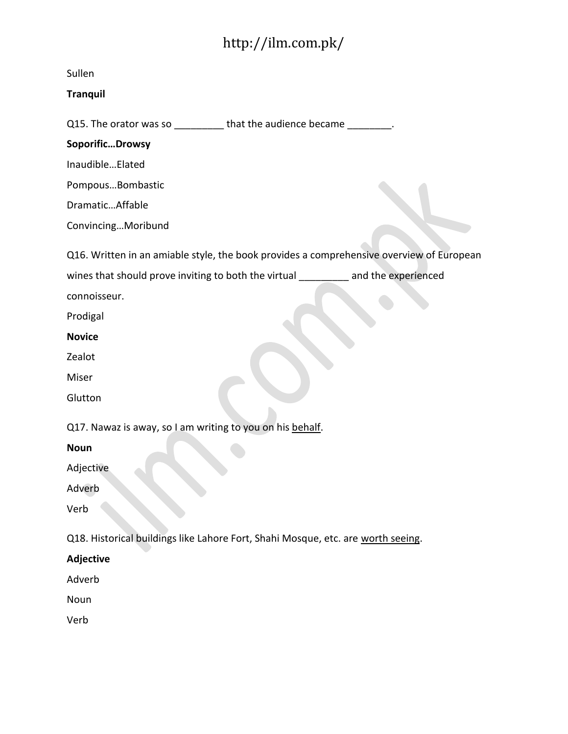| Sullen                                                                                   |
|------------------------------------------------------------------------------------------|
| <b>Tranquil</b>                                                                          |
| Q15. The orator was so ___________ that the audience became _________.                   |
| SoporificDrowsy                                                                          |
| InaudibleElated                                                                          |
| PompousBombastic                                                                         |
| DramaticAffable                                                                          |
| ConvincingMoribund                                                                       |
| Q16. Written in an amiable style, the book provides a comprehensive overview of European |
| wines that should prove inviting to both the virtual _________ and the experienced       |
| connoisseur.                                                                             |
| Prodigal                                                                                 |
| <b>Novice</b>                                                                            |
| Zealot                                                                                   |
| Miser                                                                                    |
| Glutton                                                                                  |
|                                                                                          |
| Q17. Nawaz is away, so I am writing to you on his behalf.                                |
| <b>Noun</b>                                                                              |
| Adjective                                                                                |
| Adverb                                                                                   |
| Verb                                                                                     |
| Q18. Historical buildings like Lahore Fort, Shahi Mosque, etc. are worth seeing.         |
| <b>Adjective</b>                                                                         |
| Adverb                                                                                   |
| Noun                                                                                     |
| Verb                                                                                     |
|                                                                                          |